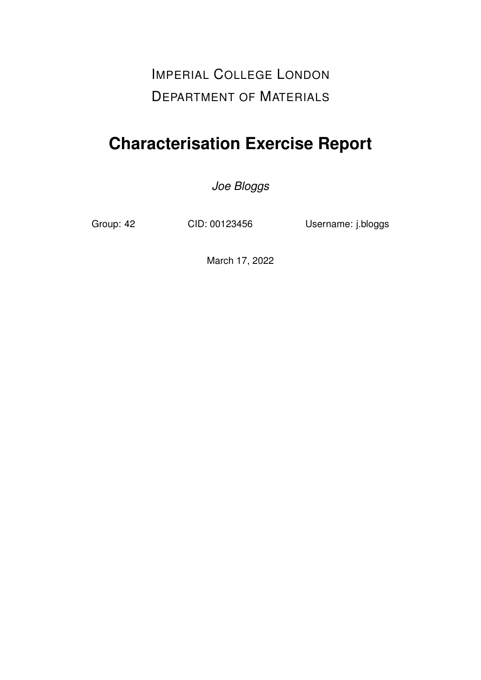IMPERIAL COLLEGE LONDON DEPARTMENT OF MATERIALS

# **Characterisation Exercise Report**

*Joe Bloggs*

Group: 42 CID: 00123456 Username: j.bloggs

March 17, 2022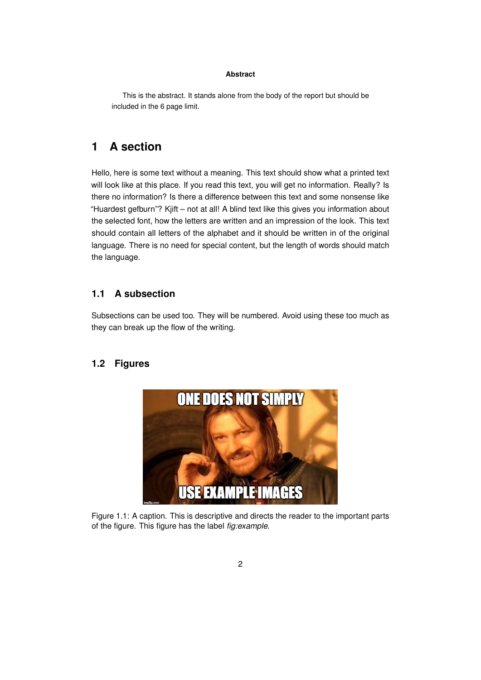#### **Abstract**

This is the abstract. It stands alone from the body of the report but should be included in the 6 page limit.

## **1 A section**

Hello, here is some text without a meaning. This text should show what a printed text will look like at this place. If you read this text, you will get no information. Really? Is there no information? Is there a difference between this text and some nonsense like "Huardest gefburn"? Kjift – not at all! A blind text like this gives you information about the selected font, how the letters are written and an impression of the look. This text should contain all letters of the alphabet and it should be written in of the original language. There is no need for special content, but the length of words should match the language.

#### **1.1 A subsection**

Subsections can be used too. They will be numbered. Avoid using these too much as they can break up the flow of the writing.

#### <span id="page-1-0"></span>**1.2 Figures**



Figure 1.1: A caption. This is descriptive and directs the reader to the important parts of the figure. This figure has the label *fig:example*.